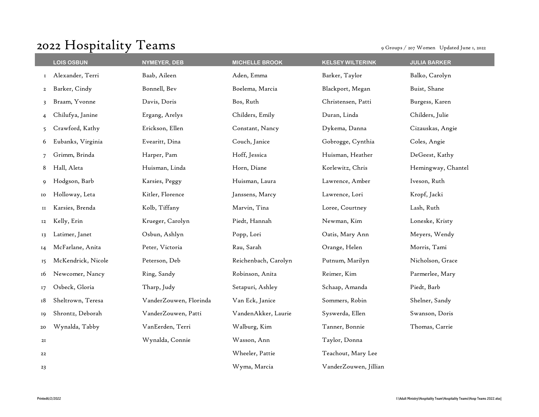## 2022 Hospitality Teams 9 Groups / 207 Women Updated June 1, 2022

|                | <b>LOIS OSBUN</b>  |                        | <b>MICHELLE BROOK</b> |                         |                     |
|----------------|--------------------|------------------------|-----------------------|-------------------------|---------------------|
|                |                    | NYMEYER, DEB           |                       | <b>KELSEY WILTERINK</b> | <b>JULIA BARKER</b> |
| 1              | Alexander, Terri   | Baab, Aileen           | Aden, Emma            | Barker, Taylor          | Balko, Carolyn      |
| $\overline{a}$ | Barker, Cindy      | Bonnell, Bev           | Boelema, Marcia       | Blackport, Megan        | Buist, Shane        |
| 3              | Braam, Yvonne      | Davis, Doris           | Bos, Ruth             | Christensen, Patti      | Burgess, Karen      |
|                | Chilufya, Janine   | Ergang, Arelys         | Childers, Emily       | Duran, Linda            | Childers, Julie     |
| 5.             | Crawford, Kathy    | Erickson, Ellen        | Constant, Nancy       | Dykema, Danna           | Cizauskas, Angie    |
| 6              | Eubanks, Virginia  | Evearitt, Dina         | Couch, Janice         | Gobrogge, Cynthia       | Coles, Angie        |
|                | Grimm, Brinda      | Harper, Pam            | Hoff, Jessica         | Huisman, Heather        | DeGeest, Kathy      |
| 8              | Hall, Aleta        | Huisman, Linda         | Horn, Diane           | Korlewitz, Chris        | Hemingway, Chantel  |
| 9              | Hodgson, Barb      | Karsies, Peggy         | Huisman, Laura        | Lawrence, Amber         | Iveson, Ruth        |
| 10             | Holloway, Leta     | Kitler, Florence       | Janssens, Marcy       | Lawrence, Lori          | Kropf, Jacki        |
| и              | Karsies, Brenda    | Kolb, Tiffany          | Marvin, Tina          | Loree, Courtney         | Lash, Ruth          |
| 12             | Kelly, Erin        | Krueger, Carolyn       | Piedt, Hannah         | Newman, Kim             | Loneske, Kristy     |
| 13             | Latimer, Janet     | Osbun, Ashlyn          | Popp, Lori            | Oatis, Mary Ann         | Meyers, Wendy       |
| 14             | McFarlane, Anita   | Peter, Victoria        | Rau, Sarah            | Orange, Helen           | Morris, Tami        |
| 15             | McKendrick, Nicole | Peterson, Deb          | Reichenbach, Carolyn  | Putnum, Marilyn         | Nicholson, Grace    |
| 16             | Newcomer, Nancy    | Ring, Sandy            | Robinson, Anita       | Reimer, Kim             | Parmerlee, Mary     |
| 17             | Osbeck, Gloria     | Tharp, Judy            | Setapuri, Ashley      | Schaap, Amanda          | Piedt, Barb         |
| 18             | Sheltrown, Teresa  | VanderZouwen, Florinda | Van Eck, Janice       | Sommers, Robin          | Shelner, Sandy      |
| 19             | Shrontz, Deborah   | VanderZouwen, Patti    | VandenAkker, Laurie   | Syswerda, Ellen         | Swanson, Doris      |
| 20             | Wynalda, Tabby     | VanEerden, Terri       | Walburg, Kim          | Tanner, Bonnie          | Thomas, Carrie      |
| 2I             |                    | Wynalda, Connie        | Wasson, Ann           | Taylor, Donna           |                     |
| 22             |                    |                        | Wheeler, Pattie       | Teachout, Mary Lee      |                     |
| 23             |                    |                        | Wyma, Marcia          | VanderZouwen, Jillian   |                     |